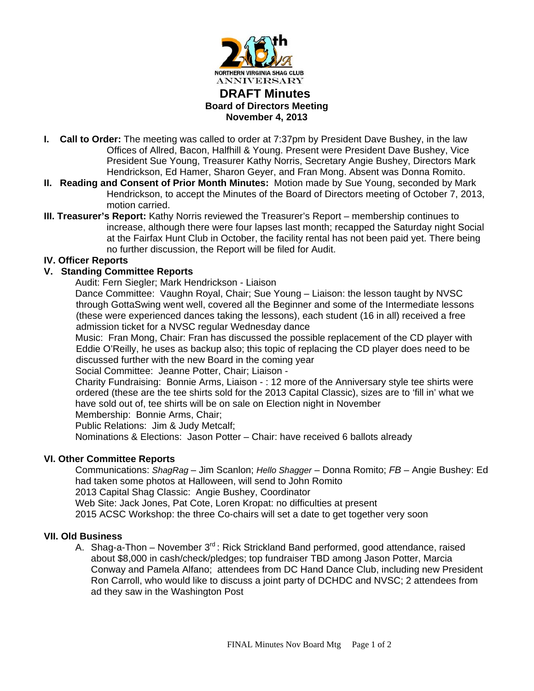

# **DRAFT Minutes Board of Directors Meeting November 4, 2013**

- **I. Call to Order:** The meeting was called to order at 7:37pm by President Dave Bushey, in the law Offices of Allred, Bacon, Halfhill & Young. Present were President Dave Bushey, Vice President Sue Young, Treasurer Kathy Norris, Secretary Angie Bushey, Directors Mark Hendrickson, Ed Hamer, Sharon Geyer, and Fran Mong. Absent was Donna Romito.
- **II. Reading and Consent of Prior Month Minutes:** Motion made by Sue Young, seconded by Mark Hendrickson, to accept the Minutes of the Board of Directors meeting of October 7, 2013, motion carried.
- **III. Treasurer's Report:** Kathy Norris reviewed the Treasurer's Report membership continues to increase, although there were four lapses last month; recapped the Saturday night Social at the Fairfax Hunt Club in October, the facility rental has not been paid yet. There being no further discussion, the Report will be filed for Audit.

## **IV. Officer Reports**

## **V. Standing Committee Reports**

Audit: Fern Siegler; Mark Hendrickson - Liaison

 Dance Committee: Vaughn Royal, Chair; Sue Young – Liaison: the lesson taught by NVSC through GottaSwing went well, covered all the Beginner and some of the Intermediate lessons (these were experienced dances taking the lessons), each student (16 in all) received a free admission ticket for a NVSC regular Wednesday dance

 Music: Fran Mong, Chair: Fran has discussed the possible replacement of the CD player with Eddie O'Reilly, he uses as backup also; this topic of replacing the CD player does need to be discussed further with the new Board in the coming year

Social Committee: Jeanne Potter, Chair; Liaison -

 Charity Fundraising: Bonnie Arms, Liaison - : 12 more of the Anniversary style tee shirts were ordered (these are the tee shirts sold for the 2013 Capital Classic), sizes are to 'fill in' what we have sold out of, tee shirts will be on sale on Election night in November

Membership: Bonnie Arms, Chair;

Public Relations: Jim & Judy Metcalf;

Nominations & Elections: Jason Potter – Chair: have received 6 ballots already

## **VI. Other Committee Reports**

Communications: *ShagRag* – Jim Scanlon; *Hello Shagger* – Donna Romito; *FB* – Angie Bushey: Ed had taken some photos at Halloween, will send to John Romito 2013 Capital Shag Classic: Angie Bushey, Coordinator Web Site: Jack Jones, Pat Cote, Loren Kropat: no difficulties at present 2015 ACSC Workshop: the three Co-chairs will set a date to get together very soon

### **VII. Old Business**

A. Shag-a-Thon – November  $3<sup>rd</sup>$ : Rick Strickland Band performed, good attendance, raised about \$8,000 in cash/check/pledges; top fundraiser TBD among Jason Potter, Marcia Conway and Pamela Alfano; attendees from DC Hand Dance Club, including new President Ron Carroll, who would like to discuss a joint party of DCHDC and NVSC; 2 attendees from ad they saw in the Washington Post